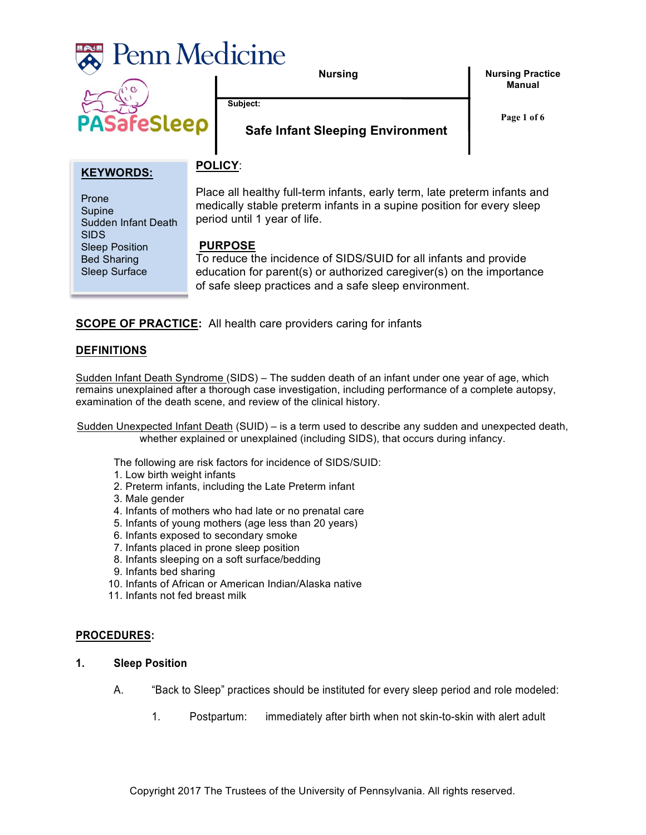

**Feslee** 

**Nursing**

**Nursing Practice Manual**

**Subject:** 

**Page 1 of 6**

# **Safe Infant Sleeping Environment**

## **KEYWORDS:**

Sudden Infant Death

Sleep Position Bed Sharing Sleep Surface

Prone Supine

SIDS

Place all healthy full-term infants, early term, late preterm infants and medically stable preterm infants in a supine position for every sleep period until 1 year of life.

### **PURPOSE**

**POLICY**:

To reduce the incidence of SIDS/SUID for all infants and provide education for parent(s) or authorized caregiver(s) on the importance of safe sleep practices and a safe sleep environment.

**SCOPE OF PRACTICE:** All health care providers caring for infants

### **DEFINITIONS**

Sudden Infant Death Syndrome (SIDS) – The sudden death of an infant under one year of age, which remains unexplained after a thorough case investigation, including performance of a complete autopsy, examination of the death scene, and review of the clinical history.

Sudden Unexpected Infant Death (SUID) – is a term used to describe any sudden and unexpected death, whether explained or unexplained (including SIDS), that occurs during infancy.

The following are risk factors for incidence of SIDS/SUID:

- 1. Low birth weight infants
- 2. Preterm infants, including the Late Preterm infant
- 3. Male gender
- 4. Infants of mothers who had late or no prenatal care
- 5. Infants of young mothers (age less than 20 years)
- 6. Infants exposed to secondary smoke
- 7. Infants placed in prone sleep position
- 8. Infants sleeping on a soft surface/bedding
- 9. Infants bed sharing
- 10. Infants of African or American Indian/Alaska native
- 11. Infants not fed breast milk

#### **PROCEDURES:**

- **1. Sleep Position**
	- A. "Back to Sleep" practices should be instituted for every sleep period and role modeled:
		- 1. Postpartum: immediately after birth when not skin-to-skin with alert adult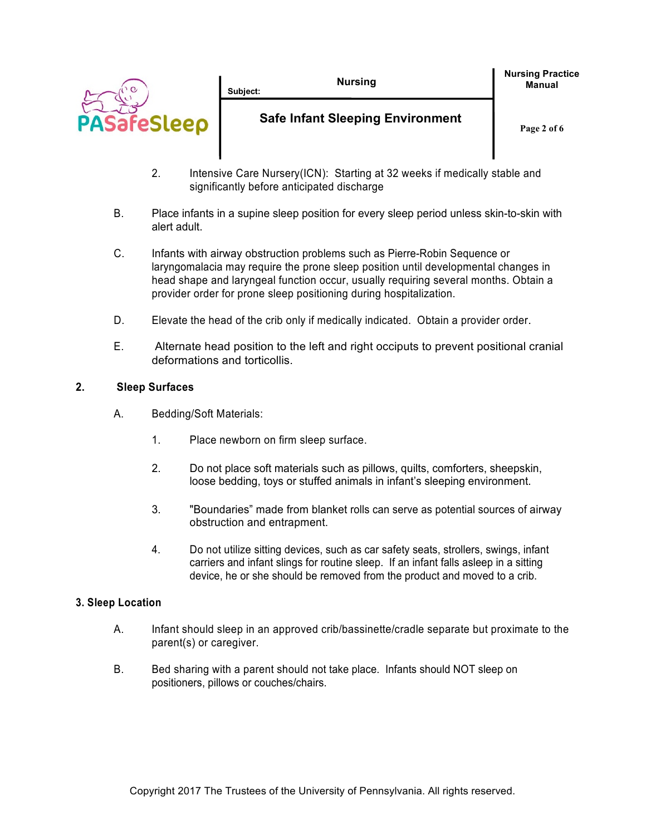|                       | <b>Nursing</b><br>Subiect:              | <b>Nursing Practice</b><br><b>Manual</b> |
|-----------------------|-----------------------------------------|------------------------------------------|
| <b>COSSICO</b><br>PAS | <b>Safe Infant Sleeping Environment</b> | Page 2 of 6                              |
|                       |                                         |                                          |

- 2. Intensive Care Nursery(ICN): Starting at 32 weeks if medically stable and significantly before anticipated discharge
- B. Place infants in a supine sleep position for every sleep period unless skin-to-skin with alert adult.
- C. Infants with airway obstruction problems such as Pierre-Robin Sequence or laryngomalacia may require the prone sleep position until developmental changes in head shape and laryngeal function occur, usually requiring several months. Obtain a provider order for prone sleep positioning during hospitalization.
- D. Elevate the head of the crib only if medically indicated. Obtain a provider order.
- E. Alternate head position to the left and right occiputs to prevent positional cranial deformations and torticollis.

### **2. Sleep Surfaces**

- A. Bedding/Soft Materials:
	- 1. Place newborn on firm sleep surface.
	- 2. Do not place soft materials such as pillows, quilts, comforters, sheepskin, loose bedding, toys or stuffed animals in infant's sleeping environment.
	- 3. "Boundaries" made from blanket rolls can serve as potential sources of airway obstruction and entrapment.
	- 4. Do not utilize sitting devices, such as car safety seats, strollers, swings, infant carriers and infant slings for routine sleep. If an infant falls asleep in a sitting device, he or she should be removed from the product and moved to a crib.

### **3. Sleep Location**

- A. Infant should sleep in an approved crib/bassinette/cradle separate but proximate to the parent(s) or caregiver.
- B. Bed sharing with a parent should not take place. Infants should NOT sleep on positioners, pillows or couches/chairs.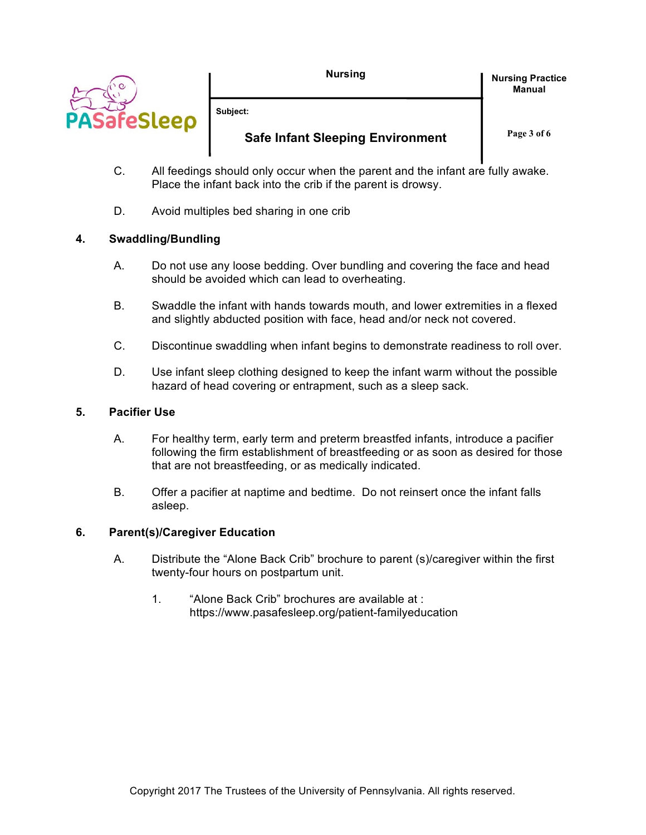

**Subject:** 

# **Safe Infant Sleeping Environment**

**Page 3 of 6**

**Nursing Practice Manual**

- C. All feedings should only occur when the parent and the infant are fully awake. Place the infant back into the crib if the parent is drowsy.
- D. Avoid multiples bed sharing in one crib

## **4. Swaddling/Bundling**

- A. Do not use any loose bedding. Over bundling and covering the face and head should be avoided which can lead to overheating.
- B. Swaddle the infant with hands towards mouth, and lower extremities in a flexed and slightly abducted position with face, head and/or neck not covered.
- C. Discontinue swaddling when infant begins to demonstrate readiness to roll over.
- D. Use infant sleep clothing designed to keep the infant warm without the possible hazard of head covering or entrapment, such as a sleep sack.

## **5. Pacifier Use**

- A. For healthy term, early term and preterm breastfed infants, introduce a pacifier following the firm establishment of breastfeeding or as soon as desired for those that are not breastfeeding, or as medically indicated.
- B. Offer a pacifier at naptime and bedtime. Do not reinsert once the infant falls asleep.

## **6. Parent(s)/Caregiver Education**

- A. Distribute the "Alone Back Crib" brochure to parent (s)/caregiver within the first twenty-four hours on postpartum unit.
	- 1. "Alone Back Crib" brochures are available at : https://www.pasafesleep.org/patient-familyeducation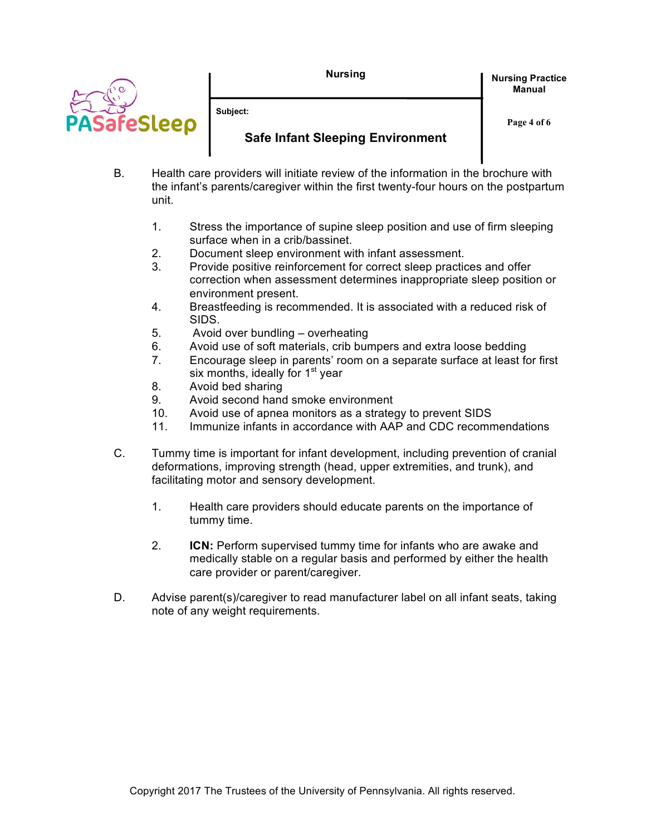**Nursing**



**Nursing Practice Manual**

**Subject:** 

# **Safe Infant Sleeping Environment**

**Page 4 of 6**

- B. Health care providers will initiate review of the information in the brochure with the infant's parents/caregiver within the first twenty-four hours on the postpartum unit.
	- 1. Stress the importance of supine sleep position and use of firm sleeping surface when in a crib/bassinet.
	- 2. Document sleep environment with infant assessment.
	- 3. Provide positive reinforcement for correct sleep practices and offer correction when assessment determines inappropriate sleep position or environment present.
	- 4. Breastfeeding is recommended. It is associated with a reduced risk of SIDS.
	- 5. Avoid over bundling overheating
	- 6. Avoid use of soft materials, crib bumpers and extra loose bedding
	- 7. Encourage sleep in parents' room on a separate surface at least for first six months, ideally for  $1<sup>st</sup>$  year
	- 8. Avoid bed sharing
	- 9. Avoid second hand smoke environment
	- 10. Avoid use of apnea monitors as a strategy to prevent SIDS
	- 11. Immunize infants in accordance with AAP and CDC recommendations
- C. Tummy time is important for infant development, including prevention of cranial deformations, improving strength (head, upper extremities, and trunk), and facilitating motor and sensory development.
	- 1. Health care providers should educate parents on the importance of tummy time.
	- 2. **ICN:** Perform supervised tummy time for infants who are awake and medically stable on a regular basis and performed by either the health care provider or parent/caregiver.
- D. Advise parent(s)/caregiver to read manufacturer label on all infant seats, taking note of any weight requirements.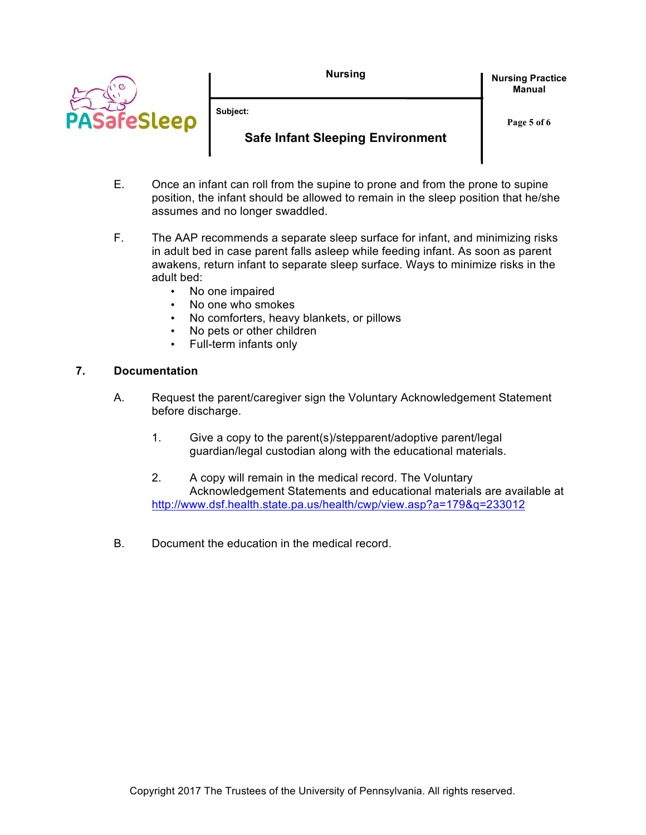**Nursing**



**Subject:** 

# **Safe Infant Sleeping Environment**

**Nursing Practice Manual**

**Page 5 of 6**

- E. Once an infant can roll from the supine to prone and from the prone to supine position, the infant should be allowed to remain in the sleep position that he/she assumes and no longer swaddled.
- F. The AAP recommends a separate sleep surface for infant, and minimizing risks in adult bed in case parent falls asleep while feeding infant. As soon as parent awakens, return infant to separate sleep surface. Ways to minimize risks in the adult bed:
	- No one impaired
	- No one who smokes
	- No comforters, heavy blankets, or pillows
	- No pets or other children
	- Full-term infants only

## **7. Documentation**

- A. Request the parent/caregiver sign the Voluntary Acknowledgement Statement before discharge.
	- 1. Give a copy to the parent(s)/stepparent/adoptive parent/legal guardian/legal custodian along with the educational materials.
	- 2. A copy will remain in the medical record. The Voluntary Acknowledgement Statements and educational materials are available at http://www.dsf.health.state.pa.us/health/cwp/view.asp?a=179&q=233012
- B. Document the education in the medical record.